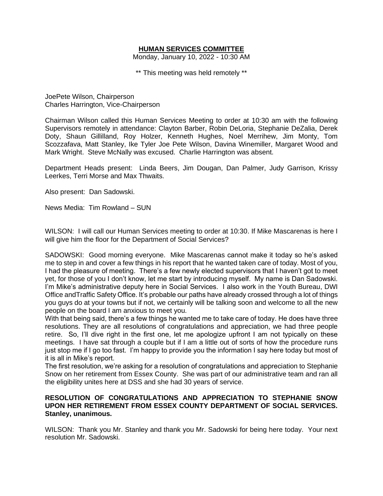# **HUMAN SERVICES COMMITTEE**

Monday, January 10, 2022 - 10:30 AM

\*\* This meeting was held remotely \*\*

JoePete Wilson, Chairperson Charles Harrington, Vice-Chairperson

Chairman Wilson called this Human Services Meeting to order at 10:30 am with the following Supervisors remotely in attendance: Clayton Barber, Robin DeLoria, Stephanie DeZalia, Derek Doty, Shaun Gillilland, Roy Holzer, Kenneth Hughes, Noel Merrihew, Jim Monty, Tom Scozzafava, Matt Stanley, Ike Tyler Joe Pete Wilson, Davina Winemiller, Margaret Wood and Mark Wright. Steve McNally was excused. Charlie Harrington was absent.

Department Heads present: Linda Beers, Jim Dougan, Dan Palmer, Judy Garrison, Krissy Leerkes, Terri Morse and Max Thwaits.

Also present: Dan Sadowski.

News Media: Tim Rowland – SUN

WILSON: I will call our Human Services meeting to order at 10:30. If Mike Mascarenas is here I will give him the floor for the Department of Social Services?

SADOWSKI: Good morning everyone. Mike Mascarenas cannot make it today so he's asked me to step in and cover a few things in his report that he wanted taken care of today. Most of you, I had the pleasure of meeting. There's a few newly elected supervisors that I haven't got to meet yet, for those of you I don't know, let me start by introducing myself. My name is Dan Sadowski. I'm Mike's administrative deputy here in Social Services. I also work in the Youth Bureau, DWI Office andTraffic Safety Office. It's probable our paths have already crossed through a lot of things you guys do at your towns but if not, we certainly will be talking soon and welcome to all the new people on the board I am anxious to meet you.

With that being said, there's a few things he wanted me to take care of today. He does have three resolutions. They are all resolutions of congratulations and appreciation, we had three people retire. So, I'll dive right in the first one, let me apologize upfront I am not typically on these meetings. I have sat through a couple but if I am a little out of sorts of how the procedure runs just stop me if I go too fast. I'm happy to provide you the information I say here today but most of it is all in Mike's report.

The first resolution, we're asking for a resolution of congratulations and appreciation to Stephanie Snow on her retirement from Essex County. She was part of our administrative team and ran all the eligibility unites here at DSS and she had 30 years of service.

#### **RESOLUTION OF CONGRATULATIONS AND APPRECIATION TO STEPHANIE SNOW UPON HER RETIREMENT FROM ESSEX COUNTY DEPARTMENT OF SOCIAL SERVICES. Stanley, unanimous.**

WILSON: Thank you Mr. Stanley and thank you Mr. Sadowski for being here today. Your next resolution Mr. Sadowski.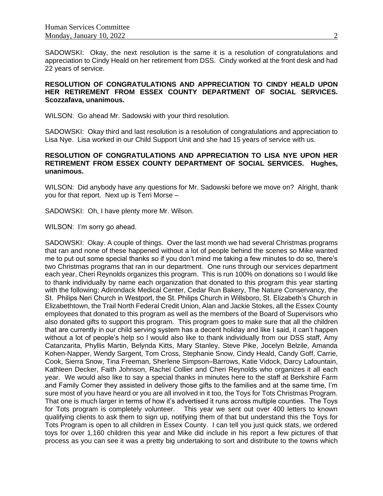SADOWSKI: Okay, the next resolution is the same it is a resolution of congratulations and appreciation to Cindy Heald on her retirement from DSS. Cindy worked at the front desk and had 22 years of service.

# **RESOLUTION OF CONGRATULATIONS AND APPRECIATION TO CINDY HEALD UPON HER RETIREMENT FROM ESSEX COUNTY DEPARTMENT OF SOCIAL SERVICES. Scozzafava, unanimous.**

WILSON: Go ahead Mr. Sadowski with your third resolution.

SADOWSKI: Okay third and last resolution is a resolution of congratulations and appreciation to Lisa Nye. Lisa worked in our Child Support Unit and she had 15 years of service with us.

# **RESOLUTION OF CONGRATULATIONS AND APPRECIATION TO LISA NYE UPON HER RETIREMENT FROM ESSEX COUNTY DEPARTMENT OF SOCIAL SERVICES. Hughes, unanimous.**

WILSON: Did anybody have any questions for Mr. Sadowski before we move on? Alright, thank you for that report. Next up is Terri Morse –

SADOWSKI: Oh, I have plenty more Mr. Wilson.

WILSON: I'm sorry go ahead.

SADOWSKI: Okay. A couple of things. Over the last month we had several Christmas programs that ran and none of these happened without a lot of people behind the scenes so Mike wanted me to put out some special thanks so if you don't mind me taking a few minutes to do so, there's two Christmas programs that ran in our department. One runs through our services department each year, Cheri Reynolds organizes this program. This is run 100% on donations so I would like to thank individually by name each organization that donated to this program this year starting with the following; Adirondack Medical Center, Cedar Run Bakery, The Nature Conservancy, the St. Philips Neri Church in Westport, the St. Philips Church in Willsboro, St. Elizabeth's Church in Elizabethtown, the Trail North Federal Credit Union, Alan and Jackie Stokes, all the Essex County employees that donated to this program as well as the members of the Board of Supervisors who also donated gifts to support this program. This program goes to make sure that all the children that are currently in our child serving system has a decent holiday and like I said, it can't happen without a lot of people's help so I would also like to thank individually from our DSS staff, Amy Catanzarita, Phyllis Martin, Belynda Kitts, Mary Stanley, Steve Pike, Jocelyn Belzile, Amanda Kohen-Napper, Wendy Sargent, Tom Cross, Stephanie Snow, Cindy Heald, Candy Goff, Carrie, Cook, Sierra Snow, Tina Freeman, Sherlene Simpson–Barrows, Katie Vidock, Darcy Lafountain, Kathleen Decker, Faith Johnson, Rachel Collier and Cheri Reynolds who organizes it all each year. We would also like to say a special thanks in minutes here to the staff at Berkshire Farm and Family Corner they assisted in delivery those gifts to the families and at the same time, I'm sure most of you have heard or you are all involved in it too, the Toys for Tots Christmas Program. That one is much larger in terms of how it's advertised it runs across multiple counties. The Toys for Tots program is completely volunteer. This year we sent out over 400 letters to known qualifying clients to ask them to sign up, notifying them of that but understand this the Toys for Tots Program is open to all children in Essex County. I can tell you just quick stats, we ordered toys for over 1,160 children this year and Mike did include in his report a few pictures of that process as you can see it was a pretty big undertaking to sort and distribute to the towns which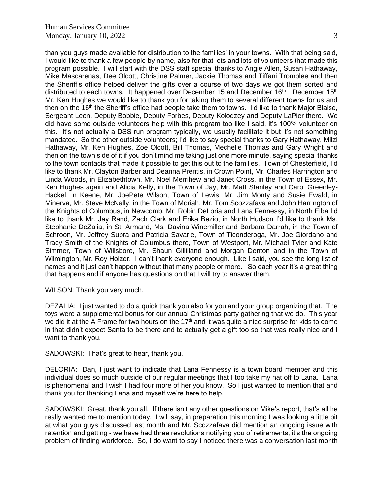than you guys made available for distribution to the families' in your towns. With that being said, I would like to thank a few people by name, also for that lots and lots of volunteers that made this program possible. I will start with the DSS staff special thanks to Angie Allen, Susan Hathaway, Mike Mascarenas, Dee Olcott, Christine Palmer, Jackie Thomas and Tiffani Tromblee and then the Sheriff's office helped deliver the gifts over a course of two days we got them sorted and distributed to each towns. It happened over December 15 and December 16<sup>th</sup> December 15<sup>th</sup> Mr. Ken Hughes we would like to thank you for taking them to several different towns for us and then on the 16<sup>th</sup> the Sheriff's office had people take them to towns. I'd like to thank Major Blaise, Sergeant Leon, Deputy Bobbie, Deputy Forbes, Deputy Kolodzey and Deputy LaPier there. We did have some outside volunteers help with this program too like I said, it's 100% volunteer on this. It's not actually a DSS run program typically, we usually facilitate it but it's not something mandated. So the other outside volunteers; I'd like to say special thanks to Gary Hathaway, Mitzi Hathaway, Mr. Ken Hughes, Zoe Olcott, Bill Thomas, Mechelle Thomas and Gary Wright and then on the town side of it if you don't mind me taking just one more minute, saying special thanks to the town contacts that made it possible to get this out to the families. Town of Chesterfield, I'd like to thank Mr. Clayton Barber and Deanna Prentis, in Crown Point, Mr. Charles Harrington and Linda Woods, in Elizabethtown, Mr. Noel Merrihew and Janet Cross, in the Town of Essex, Mr. Ken Hughes again and Alicia Kelly, in the Town of Jay, Mr. Matt Stanley and Carol Greenley-Hackel, in Keene, Mr. JoePete Wilson, Town of Lewis, Mr. Jim Monty and Susie Ewald, in Minerva, Mr. Steve McNally, in the Town of Moriah, Mr. Tom Scozzafava and John Harrington of the Knights of Columbus, in Newcomb, Mr. Robin DeLoria and Lana Fennessy, in North Elba I'd like to thank Mr. Jay Rand, Zach Clark and Erika Bezio, in North Hudson I'd like to thank Ms. Stephanie DeZalia, in St. Armand, Ms. Davina Winemiller and Barbara Darrah, in the Town of Schroon, Mr. Jeffrey Subra and Patricia Savarie, Town of Ticonderoga, Mr. Joe Giordano and Tracy Smith of the Knights of Columbus there, Town of Westport, Mr. Michael Tyler and Kate Simmer, Town of Willsboro, Mr. Shaun Gillilland and Morgan Denton and in the Town of Wilmington, Mr. Roy Holzer. I can't thank everyone enough. Like I said, you see the long list of names and it just can't happen without that many people or more. So each year it's a great thing that happens and if anyone has questions on that I will try to answer them.

WILSON: Thank you very much.

DEZALIA: I just wanted to do a quick thank you also for you and your group organizing that. The toys were a supplemental bonus for our annual Christmas party gathering that we do. This year we did it at the A Frame for two hours on the 17<sup>th</sup> and it was quite a nice surprise for kids to come in that didn't expect Santa to be there and to actually get a gift too so that was really nice and I want to thank you.

SADOWSKI: That's great to hear, thank you.

DELORIA: Dan, I just want to indicate that Lana Fennessy is a town board member and this individual does so much outside of our regular meetings that I too take my hat off to Lana. Lana is phenomenal and I wish I had four more of her you know. So I just wanted to mention that and thank you for thanking Lana and myself we're here to help.

SADOWSKI: Great, thank you all. If there isn't any other questions on Mike's report, that's all he really wanted me to mention today. I will say, in preparation this morning I was looking a little bit at what you guys discussed last month and Mr. Scozzafava did mention an ongoing issue with retention and getting - we have had three resolutions notifying you of retirements, it's the ongoing problem of finding workforce. So, I do want to say I noticed there was a conversation last month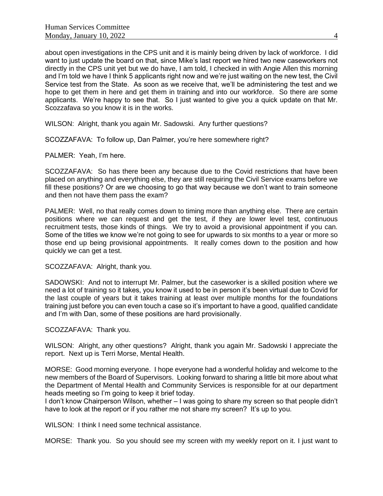about open investigations in the CPS unit and it is mainly being driven by lack of workforce. I did want to just update the board on that, since Mike's last report we hired two new caseworkers not directly in the CPS unit yet but we do have, I am told, I checked in with Angie Allen this morning and I'm told we have I think 5 applicants right now and we're just waiting on the new test, the Civil Service test from the State. As soon as we receive that, we'll be administering the test and we hope to get them in here and get them in training and into our workforce. So there are some applicants. We're happy to see that. So I just wanted to give you a quick update on that Mr. Scozzafava so you know it is in the works.

WILSON: Alright, thank you again Mr. Sadowski. Any further questions?

SCOZZAFAVA: To follow up, Dan Palmer, you're here somewhere right?

PALMER: Yeah, I'm here.

SCOZZAFAVA: So has there been any because due to the Covid restrictions that have been placed on anything and everything else, they are still requiring the Civil Service exams before we fill these positions? Or are we choosing to go that way because we don't want to train someone and then not have them pass the exam?

PALMER: Well, no that really comes down to timing more than anything else. There are certain positions where we can request and get the test, if they are lower level test, continuous recruitment tests, those kinds of things. We try to avoid a provisional appointment if you can. Some of the titles we know we're not going to see for upwards to six months to a year or more so those end up being provisional appointments. It really comes down to the position and how quickly we can get a test.

SCOZZAFAVA: Alright, thank you.

SADOWSKI: And not to interrupt Mr. Palmer, but the caseworker is a skilled position where we need a lot of training so it takes, you know it used to be in person it's been virtual due to Covid for the last couple of years but it takes training at least over multiple months for the foundations training just before you can even touch a case so it's important to have a good, qualified candidate and I'm with Dan, some of these positions are hard provisionally.

SCOZZAFAVA: Thank you.

WILSON: Alright, any other questions? Alright, thank you again Mr. Sadowski I appreciate the report. Next up is Terri Morse, Mental Health.

MORSE: Good morning everyone. I hope everyone had a wonderful holiday and welcome to the new members of the Board of Supervisors. Looking forward to sharing a little bit more about what the Department of Mental Health and Community Services is responsible for at our department heads meeting so I'm going to keep it brief today.

I don't know Chairperson Wilson, whether – I was going to share my screen so that people didn't have to look at the report or if you rather me not share my screen? It's up to you.

WILSON: I think I need some technical assistance.

MORSE: Thank you. So you should see my screen with my weekly report on it. I just want to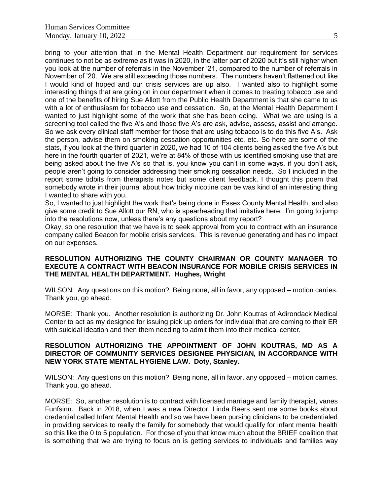bring to your attention that in the Mental Health Department our requirement for services continues to not be as extreme as it was in 2020, in the latter part of 2020 but it's still higher when you look at the number of referrals in the November '21, compared to the number of referrals in November of '20. We are still exceeding those numbers. The numbers haven't flattened out like I would kind of hoped and our crisis services are up also. I wanted also to highlight some interesting things that are going on in our department when it comes to treating tobacco use and one of the benefits of hiring Sue Allott from the Public Health Department is that she came to us with a lot of enthusiasm for tobacco use and cessation. So, at the Mental Health Department I wanted to just highlight some of the work that she has been doing. What we are using is a screening tool called the five A's and those five A's are ask, advise, assess, assist and arrange. So we ask every clinical staff member for those that are using tobacco is to do this five A's. Ask the person, advise them on smoking cessation opportunities etc. etc. So here are some of the stats, if you look at the third quarter in 2020, we had 10 of 104 clients being asked the five A's but here in the fourth quarter of 2021, we're at 84% of those with us identified smoking use that are being asked about the five A's so that is, you know you can't in some ways, if you don't ask, people aren't going to consider addressing their smoking cessation needs. So I included in the report some tidbits from therapists notes but some client feedback, I thought this poem that somebody wrote in their journal about how tricky nicotine can be was kind of an interesting thing I wanted to share with you.

So, I wanted to just highlight the work that's being done in Essex County Mental Health, and also give some credit to Sue Allott our RN, who is spearheading that imitative here. I'm going to jump into the resolutions now, unless there's any questions about my report?

Okay, so one resolution that we have is to seek approval from you to contract with an insurance company called Beacon for mobile crisis services. This is revenue generating and has no impact on our expenses.

#### **RESOLUTION AUTHORIZING THE COUNTY CHAIRMAN OR COUNTY MANAGER TO EXECUTE A CONTRACT WITH BEACON INSURANCE FOR MOBILE CRISIS SERVICES IN THE MENTAL HEALTH DEPARTMENT. Hughes, Wright**

WILSON: Any questions on this motion? Being none, all in favor, any opposed – motion carries. Thank you, go ahead.

MORSE: Thank you. Another resolution is authorizing Dr. John Koutras of Adirondack Medical Center to act as my designee for issuing pick up orders for individual that are coming to their ER with suicidal ideation and then them needing to admit them into their medical center.

# **RESOLUTION AUTHORIZING THE APPOINTMENT OF JOHN KOUTRAS, MD AS A DIRECTOR OF COMMUNITY SERVICES DESIGNEE PHYSICIAN, IN ACCORDANCE WITH NEW YORK STATE MENTAL HYGIENE LAW. Doty, Stanley.**

WILSON: Any questions on this motion? Being none, all in favor, any opposed – motion carries. Thank you, go ahead.

MORSE: So, another resolution is to contract with licensed marriage and family therapist, vanes Funfsinn. Back in 2018, when I was a new Director, Linda Beers sent me some books about credential called Infant Mental Health and so we have been pursing clinicians to be credentialed in providing services to really the family for somebody that would qualify for infant mental health so this like the 0 to 5 population. For those of you that know much about the BRIEF coalition that is something that we are trying to focus on is getting services to individuals and families way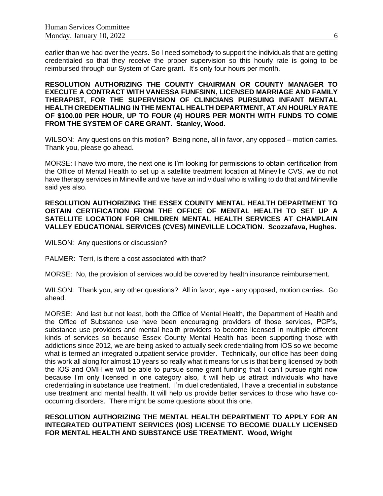earlier than we had over the years. So I need somebody to support the individuals that are getting credentialed so that they receive the proper supervision so this hourly rate is going to be reimbursed through our System of Care grant. It's only four hours per month.

**RESOLUTION AUTHORIZING THE COUNTY CHAIRMAN OR COUNTY MANAGER TO EXECUTE A CONTRACT WITH VANESSA FUNFSINN, LICENSED MARRIAGE AND FAMILY THERAPIST, FOR THE SUPERVISION OF CLINICIANS PURSUING INFANT MENTAL HEALTH CREDENTIALING IN THE MENTAL HEALTH DEPARTMENT, AT AN HOURLY RATE OF \$100.00 PER HOUR, UP TO FOUR (4) HOURS PER MONTH WITH FUNDS TO COME FROM THE SYSTEM OF CARE GRANT. Stanley, Wood.**

WILSON: Any questions on this motion? Being none, all in favor, any opposed – motion carries. Thank you, please go ahead.

MORSE: I have two more, the next one is I'm looking for permissions to obtain certification from the Office of Mental Health to set up a satellite treatment location at Mineville CVS, we do not have therapy services in Mineville and we have an individual who is willing to do that and Mineville said yes also.

#### **RESOLUTION AUTHORIZING THE ESSEX COUNTY MENTAL HEALTH DEPARTMENT TO OBTAIN CERTIFICATION FROM THE OFFICE OF MENTAL HEALTH TO SET UP A SATELLITE LOCATION FOR CHILDREN MENTAL HEALTH SERVICES AT CHAMPLAIN VALLEY EDUCATIONAL SERVICES (CVES) MINEVILLE LOCATION. Scozzafava, Hughes.**

WILSON: Any questions or discussion?

PALMER: Terri, is there a cost associated with that?

MORSE: No, the provision of services would be covered by health insurance reimbursement.

WILSON: Thank you, any other questions? All in favor, aye - any opposed, motion carries. Go ahead.

MORSE: And last but not least, both the Office of Mental Health, the Department of Health and the Office of Substance use have been encouraging providers of those services, PCP's, substance use providers and mental health providers to become licensed in multiple different kinds of services so because Essex County Mental Health has been supporting those with addictions since 2012, we are being asked to actually seek credentialing from IOS so we become what is termed an integrated outpatient service provider. Technically, our office has been doing this work all along for almost 10 years so really what it means for us is that being licensed by both the IOS and OMH we will be able to pursue some grant funding that I can't pursue right now because I'm only licensed in one category also, it will help us attract individuals who have credentialing in substance use treatment. I'm duel credentialed, I have a credential in substance use treatment and mental health. It will help us provide better services to those who have cooccurring disorders. There might be some questions about this one.

#### **RESOLUTION AUTHORIZING THE MENTAL HEALTH DEPARTMENT TO APPLY FOR AN INTEGRATED OUTPATIENT SERVICES (IOS) LICENSE TO BECOME DUALLY LICENSED FOR MENTAL HEALTH AND SUBSTANCE USE TREATMENT. Wood, Wright**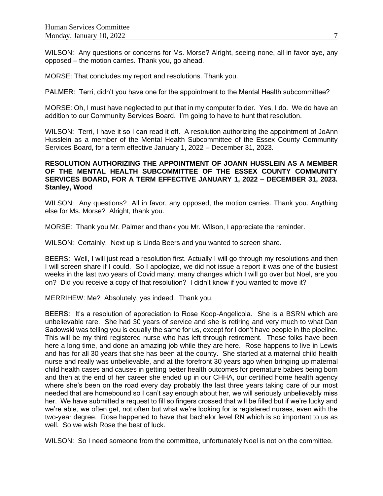WILSON: Any questions or concerns for Ms. Morse? Alright, seeing none, all in favor aye, any opposed – the motion carries. Thank you, go ahead.

MORSE: That concludes my report and resolutions. Thank you.

PALMER: Terri, didn't you have one for the appointment to the Mental Health subcommittee?

MORSE: Oh, I must have neglected to put that in my computer folder. Yes, I do. We do have an addition to our Community Services Board. I'm going to have to hunt that resolution.

WILSON: Terri, I have it so I can read it off. A resolution authorizing the appointment of JoAnn Husslein as a member of the Mental Health Subcommittee of the Essex County Community Services Board, for a term effective January 1, 2022 – December 31, 2023.

# **RESOLUTION AUTHORIZING THE APPOINTMENT OF JOANN HUSSLEIN AS A MEMBER OF THE MENTAL HEALTH SUBCOMMITTEE OF THE ESSEX COUNTY COMMUNITY SERVICES BOARD, FOR A TERM EFFECTIVE JANUARY 1, 2022 – DECEMBER 31, 2023. Stanley, Wood**

WILSON: Any questions? All in favor, any opposed, the motion carries. Thank you. Anything else for Ms. Morse? Alright, thank you.

MORSE: Thank you Mr. Palmer and thank you Mr. Wilson, I appreciate the reminder.

WILSON: Certainly. Next up is Linda Beers and you wanted to screen share.

BEERS: Well, I will just read a resolution first. Actually I will go through my resolutions and then I will screen share if I could. So I apologize, we did not issue a report it was one of the busiest weeks in the last two years of Covid many, many changes which I will go over but Noel, are you on? Did you receive a copy of that resolution? I didn't know if you wanted to move it?

MERRIHEW: Me? Absolutely, yes indeed. Thank you.

BEERS: It's a resolution of appreciation to Rose Koop-Angelicola. She is a BSRN which are unbelievable rare. She had 30 years of service and she is retiring and very much to what Dan Sadowski was telling you is equally the same for us, except for I don't have people in the pipeline. This will be my third registered nurse who has left through retirement. These folks have been here a long time, and done an amazing job while they are here. Rose happens to live in Lewis and has for all 30 years that she has been at the county. She started at a maternal child health nurse and really was unbelievable, and at the forefront 30 years ago when bringing up maternal child health cases and causes in getting better health outcomes for premature babies being born and then at the end of her career she ended up in our CHHA, our certified home health agency where she's been on the road every day probably the last three years taking care of our most needed that are homebound so I can't say enough about her, we will seriously unbelievably miss her. We have submitted a request to fill so fingers crossed that will be filled but if we're lucky and we're able, we often get, not often but what we're looking for is registered nurses, even with the two-year degree. Rose happened to have that bachelor level RN which is so important to us as well. So we wish Rose the best of luck.

WILSON: So I need someone from the committee, unfortunately Noel is not on the committee.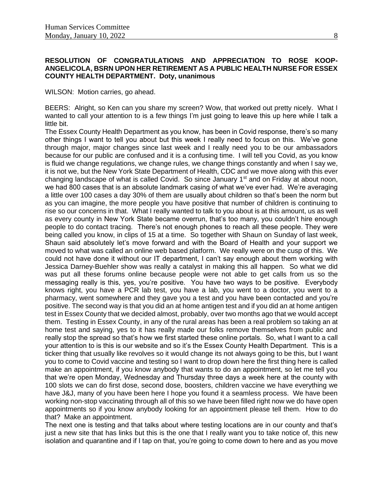# **RESOLUTION OF CONGRATULATIONS AND APPRECIATION TO ROSE KOOP-ANGELICOLA, BSRN UPON HER RETIREMENT AS A PUBLIC HEALTH NURSE FOR ESSEX COUNTY HEALTH DEPARTMENT. Doty, unanimous**

WILSON: Motion carries, go ahead.

BEERS: Alright, so Ken can you share my screen? Wow, that worked out pretty nicely. What I wanted to call your attention to is a few things I'm just going to leave this up here while I talk a little bit.

The Essex County Health Department as you know, has been in Covid response, there's so many other things I want to tell you about but this week I really need to focus on this. We've gone through major, major changes since last week and I really need you to be our ambassadors because for our public are confused and it is a confusing time. I will tell you Covid, as you know is fluid we change regulations, we change rules, we change things constantly and when I say we, it is not we, but the New York State Department of Health, CDC and we move along with this ever changing landscape of what is called Covid. So since January 1<sup>st</sup> and on Friday at about noon, we had 800 cases that is an absolute landmark casing of what we've ever had. We're averaging a little over 100 cases a day 30% of them are usually about children so that's been the norm but as you can imagine, the more people you have positive that number of children is continuing to rise so our concerns in that. What I really wanted to talk to you about is at this amount, us as well as every county in New York State became overrun, that's too many, you couldn't hire enough people to do contact tracing. There's not enough phones to reach all these people. They were being called you know, in clips of 15 at a time. So together with Shaun on Sunday of last week, Shaun said absolutely let's move forward and with the Board of Health and your support we moved to what was called an online web based platform. We really were on the cusp of this. We could not have done it without our IT department, I can't say enough about them working with Jessica Darney-Buehler show was really a catalyst in making this all happen. So what we did was put all these forums online because people were not able to get calls from us so the messaging really is this, yes, you're positive. You have two ways to be positive. Everybody knows right, you have a PCR lab test, you have a lab, you went to a doctor, you went to a pharmacy, went somewhere and they gave you a test and you have been contacted and you're positive. The second way is that you did an at home antigen test and if you did an at home antigen test in Essex County that we decided almost, probably, over two months ago that we would accept them. Testing in Essex County, in any of the rural areas has been a real problem so taking an at home test and saying, yes to it has really made our folks remove themselves from public and really stop the spread so that's how we first started these online portals. So, what I want to a call your attention to is this is our website and so it's the Essex County Health Department. This is a ticker thing that usually like revolves so it would change its not always going to be this, but I want you to come to Covid vaccine and testing so I want to drop down here the first thing here is called make an appointment, if you know anybody that wants to do an appointment, so let me tell you that we're open Monday, Wednesday and Thursday three days a week here at the county with 100 slots we can do first dose, second dose, boosters, children vaccine we have everything we have J&J, many of you have been here I hope you found it a seamless process. We have been working non-stop vaccinating through all of this so we have been filled right now we do have open appointments so if you know anybody looking for an appointment please tell them. How to do that? Make an appointment.

The next one is testing and that talks about where testing locations are in our county and that's just a new site that has links but this is the one that I really want you to take notice of, this new isolation and quarantine and if I tap on that, you're going to come down to here and as you move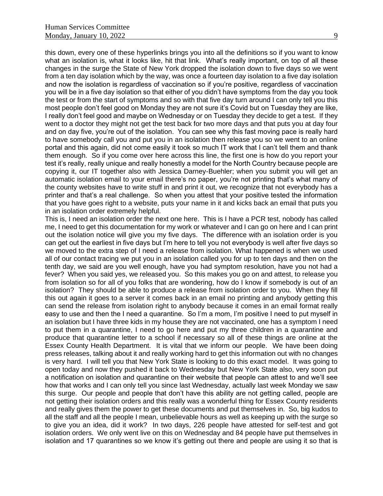this down, every one of these hyperlinks brings you into all the definitions so if you want to know what an isolation is, what it looks like, hit that link. What's really important, on top of all these changes in the surge the State of New York dropped the isolation down to five days so we went from a ten day isolation which by the way, was once a fourteen day isolation to a five day isolation and now the isolation is regardless of vaccination so if you're positive, regardless of vaccination you will be in a five day isolation so that either of you didn't have symptoms from the day you took the test or from the start of symptoms and so with that five day turn around I can only tell you this most people don't feel good on Monday they are not sure it's Covid but on Tuesday they are like, I really don't feel good and maybe on Wednesday or on Tuesday they decide to get a test. If they went to a doctor they might not get the test back for two more days and that puts you at day four and on day five, you're out of the isolation. You can see why this fast moving pace is really hard to have somebody call you and put you in an isolation then release you so we went to an online portal and this again, did not come easily it took so much IT work that I can't tell them and thank them enough. So if you come over here across this line, the first one is how do you report your test it's really, really unique and really honestly a model for the North Country because people are copying it, our IT together also with Jessica Darney-Buehler; when you submit you will get an automatic isolation email to your email there's no paper, you're not printing that's what many of the county websites have to write stuff in and print it out, we recognize that not everybody has a printer and that's a real challenge. So when you attest that your positive tested the information that you have goes right to a website, puts your name in it and kicks back an email that puts you in an isolation order extremely helpful.

This is, I need an isolation order the next one here. This is I have a PCR test, nobody has called me, I need to get this documentation for my work or whatever and I can go on here and I can print out the isolation notice will give you my five days. The difference with an isolation order is you can get out the earliest in five days but I'm here to tell you not everybody is well after five days so we moved to the extra step of I need a release from isolation. What happened is when we used all of our contact tracing we put you in an isolation called you for up to ten days and then on the tenth day, we said are you well enough, have you had symptom resolution, have you not had a fever? When you said yes, we released you. So this makes you go on and attest, to release you from isolation so for all of you folks that are wondering, how do I know if somebody is out of an isolation? They should be able to produce a release from isolation order to you. When they fill this out again it goes to a server it comes back in an email no printing and anybody getting this can send the release from isolation right to anybody because it comes in an email format really easy to use and then the I need a quarantine. So I'm a mom, I'm positive I need to put myself in an isolation but I have three kids in my house they are not vaccinated, one has a symptom I need to put them in a quarantine, I need to go here and put my three children in a quarantine and produce that quarantine letter to a school if necessary so all of these things are online at the Essex County Health Department. It is vital that we inform our people. We have been doing press releases, talking about it and really working hard to get this information out with no changes is very hard. I will tell you that New York State is looking to do this exact model. It was going to open today and now they pushed it back to Wednesday but New York State also, very soon put a notification on isolation and quarantine on their website that people can attest to and we'll see how that works and I can only tell you since last Wednesday, actually last week Monday we saw this surge. Our people and people that don't have this ability are not getting called, people are not getting their isolation orders and this really was a wonderful thing for Essex County residents and really gives them the power to get these documents and put themselves in. So, big kudos to all the staff and all the people I mean, unbelievable hours as well as keeping up with the surge so to give you an idea, did it work? In two days, 226 people have attested for self-test and got isolation orders. We only went live on this on Wednesday and 84 people have put themselves in isolation and 17 quarantines so we know it's getting out there and people are using it so that is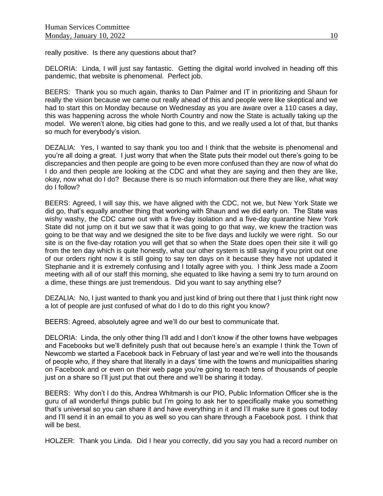really positive.Is there any questions about that?

DELORIA: Linda, I will just say fantastic. Getting the digital world involved in heading off this pandemic, that website is phenomenal. Perfect job.

BEERS: Thank you so much again, thanks to Dan Palmer and IT in prioritizing and Shaun for really the vision because we came out really ahead of this and people were like skeptical and we had to start this on Monday because on Wednesday as you are aware over a 110 cases a day, this was happening across the whole North Country and now the State is actually taking up the model. We weren't alone, big cities had gone to this, and we really used a lot of that, but thanks so much for everybody's vision.

DEZALIA: Yes, I wanted to say thank you too and I think that the website is phenomenal and you're all doing a great. I just worry that when the State puts their model out there's going to be discrepancies and then people are going to be even more confused than they are now of what do I do and then people are looking at the CDC and what they are saying and then they are like, okay, now what do I do? Because there is so much information out there they are like, what way do I follow?

BEERS: Agreed, I will say this, we have aligned with the CDC, not we, but New York State we did go, that's equally another thing that working with Shaun and we did early on. The State was wishy washy, the CDC came out with a five-day isolation and a five-day quarantine New York State did not jump on it but we saw that it was going to go that way, we knew the traction was going to be that way and we designed the site to be five days and luckily we were right. So our site is on the five-day rotation you will get that so when the State does open their site it will go from the ten day which is quite honestly, what our other system is still saying if you print out one of our orders right now it is still going to say ten days on it because they have not updated it Stephanie and it is extremely confusing and I totally agree with you. I think Jess made a Zoom meeting with all of our staff this morning, she equated to like having a semi try to turn around on a dime, these things are just tremendous. Did you want to say anything else?

DEZALIA: No, I just wanted to thank you and just kind of bring out there that I just think right now a lot of people are just confused of what do I do to do this right you know?

BEERS: Agreed, absolutely agree and we'll do our best to communicate that.

DELORIA: Linda, the only other thing I'll add and I don't know if the other towns have webpages and Facebooks but we'll definitely push that out because here's an example I think the Town of Newcomb we started a Facebook back in February of last year and we're well into the thousands of people who, if they share that literally in a days' time with the towns and municipalities sharing on Facebook and or even on their web page you're going to reach tens of thousands of people just on a share so I'll just put that out there and we'll be sharing it today.

BEERS: Why don't I do this, Andrea Whitmarsh is our PIO, Public Information Officer she is the guru of all wonderful things public but I'm going to ask her to specifically make you something that's universal so you can share it and have everything in it and I'll make sure it goes out today and I'll send it in an email to you as well so you can share through a Facebook post. I think that will be best.

HOLZER: Thank you Linda. Did I hear you correctly, did you say you had a record number on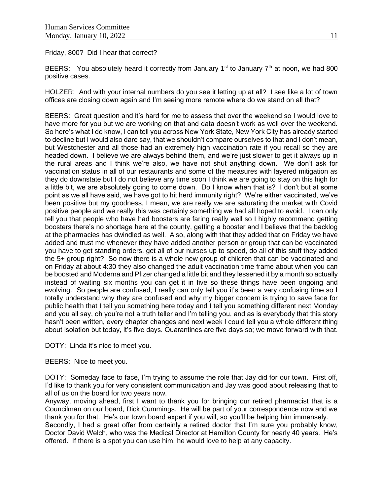Friday, 800? Did I hear that correct?

BEERS: You absolutely heard it correctly from January  $1^{st}$  to January  $7^{th}$  at noon, we had 800 positive cases.

HOLZER: And with your internal numbers do you see it letting up at all? I see like a lot of town offices are closing down again and I'm seeing more remote where do we stand on all that?

BEERS: Great question and it's hard for me to assess that over the weekend so I would love to have more for you but we are working on that and data doesn't work as well over the weekend. So here's what I do know, I can tell you across New York State, New York City has already started to decline but I would also dare say, that we shouldn't compare ourselves to that and I don't mean, but Westchester and all those had an extremely high vaccination rate if you recall so they are headed down. I believe we are always behind them, and we're just slower to get it always up in the rural areas and I think we're also, we have not shut anything down. We don't ask for vaccination status in all of our restaurants and some of the measures with layered mitigation as they do downstate but I do not believe any time soon I think we are going to stay on this high for a little bit, we are absolutely going to come down. Do I know when that is? I don't but at some point as we all have said, we have got to hit herd immunity right? We're either vaccinated, we've been positive but my goodness, I mean, we are really we are saturating the market with Covid positive people and we really this was certainly something we had all hoped to avoid. I can only tell you that people who have had boosters are faring really well so I highly recommend getting boosters there's no shortage here at the county, getting a booster and I believe that the backlog at the pharmacies has dwindled as well. Also, along with that they added that on Friday we have added and trust me whenever they have added another person or group that can be vaccinated you have to get standing orders, get all of our nurses up to speed, do all of this stuff they added the 5+ group right? So now there is a whole new group of children that can be vaccinated and on Friday at about 4:30 they also changed the adult vaccination time frame about when you can be boosted and Moderna and Pfizer changed a little bit and they lessened it by a month so actually instead of waiting six months you can get it in five so these things have been ongoing and evolving. So people are confused, I really can only tell you it's been a very confusing time so I totally understand why they are confused and why my bigger concern is trying to save face for public health that I tell you something here today and I tell you something different next Monday and you all say, oh you're not a truth teller and I'm telling you, and as is everybody that this story hasn't been written, every chapter changes and next week I could tell you a whole different thing about isolation but today, it's five days. Quarantines are five days so; we move forward with that.

DOTY: Linda it's nice to meet you.

BEERS: Nice to meet you.

DOTY: Someday face to face, I'm trying to assume the role that Jay did for our town. First off, I'd like to thank you for very consistent communication and Jay was good about releasing that to all of us on the board for two years now.

Anyway, moving ahead, first I want to thank you for bringing our retired pharmacist that is a Councilman on our board, Dick Cummings. He will be part of your correspondence now and we thank you for that. He's our town board expert if you will, so you'll be helping him immensely. Secondly, I had a great offer from certainly a retired doctor that I'm sure you probably know, Doctor David Welch, who was the Medical Director at Hamilton County for nearly 40 years. He's offered. If there is a spot you can use him, he would love to help at any capacity.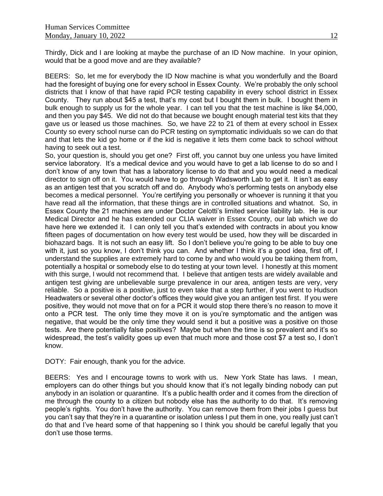Thirdly, Dick and I are looking at maybe the purchase of an ID Now machine. In your opinion, would that be a good move and are they available?

BEERS: So, let me for everybody the ID Now machine is what you wonderfully and the Board had the foresight of buying one for every school in Essex County. We're probably the only school districts that I know of that have rapid PCR testing capability in every school district in Essex County. They run about \$45 a test, that's my cost but I bought them in bulk. I bought them in bulk enough to supply us for the whole year. I can tell you that the test machine is like \$4,000, and then you pay \$45. We did not do that because we bought enough material test kits that they gave us or leased us those machines. So, we have 22 to 21 of them at every school in Essex County so every school nurse can do PCR testing on symptomatic individuals so we can do that and that lets the kid go home or if the kid is negative it lets them come back to school without having to seek out a test.

So, your question is, should you get one? First off, you cannot buy one unless you have limited service laboratory. It's a medical device and you would have to get a lab license to do so and I don't know of any town that has a laboratory license to do that and you would need a medical director to sign off on it. You would have to go through Wadsworth Lab to get it. It isn't as easy as an antigen test that you scratch off and do. Anybody who's performing tests on anybody else becomes a medical personnel. You're certifying you personally or whoever is running it that you have read all the information, that these things are in controlled situations and whatnot. So, in Essex County the 21 machines are under Doctor Celotti's limited service liability lab. He is our Medical Director and he has extended our CLIA waiver in Essex County, our lab which we do have here we extended it. I can only tell you that's extended with contracts in about you know fifteen pages of documentation on how every test would be used, how they will be discarded in biohazard bags. It is not such an easy lift. So I don't believe you're going to be able to buy one with it, just so you know, I don't think you can. And whether I think it's a good idea, first off, I understand the supplies are extremely hard to come by and who would you be taking them from, potentially a hospital or somebody else to do testing at your town level. I honestly at this moment with this surge, I would not recommend that. I believe that antigen tests are widely available and antigen test giving are unbelievable surge prevalence in our area, antigen tests are very, very reliable. So a positive is a positive, just to even take that a step further, if you went to Hudson Headwaters or several other doctor's offices they would give you an antigen test first. If you were positive, they would not move that on for a PCR it would stop there there's no reason to move it onto a PCR test. The only time they move it on is you're symptomatic and the antigen was negative, that would be the only time they would send it but a positive was a positive on those tests. Are there potentially false positives? Maybe but when the time is so prevalent and it's so widespread, the test's validity goes up even that much more and those cost \$7 a test so, I don't know.

DOTY: Fair enough, thank you for the advice.

BEERS: Yes and I encourage towns to work with us. New York State has laws. I mean, employers can do other things but you should know that it's not legally binding nobody can put anybody in an isolation or quarantine. It's a public health order and it comes from the direction of me through the county to a citizen but nobody else has the authority to do that. It's removing people's rights. You don't have the authority. You can remove them from their jobs I guess but you can't say that they're in a quarantine or isolation unless I put them in one, you really just can't do that and I've heard some of that happening so I think you should be careful legally that you don't use those terms.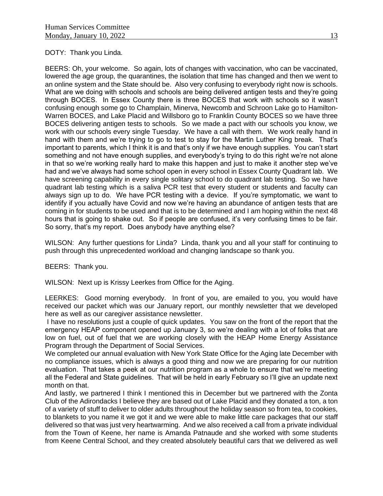#### DOTY: Thank you Linda.

BEERS: Oh, your welcome. So again, lots of changes with vaccination, who can be vaccinated, lowered the age group, the quarantines, the isolation that time has changed and then we went to an online system and the State should be. Also very confusing to everybody right now is schools. What are we doing with schools and schools are being delivered antigen tests and they're going through BOCES. In Essex County there is three BOCES that work with schools so it wasn't confusing enough some go to Champlain, Minerva, Newcomb and Schroon Lake go to Hamilton-Warren BOCES, and Lake Placid and Willsboro go to Franklin County BOCES so we have three BOCES delivering antigen tests to schools. So we made a pact with our schools you know, we work with our schools every single Tuesday. We have a call with them. We work really hand in hand with them and we're trying to go to test to stay for the Martin Luther King break. That's important to parents, which I think it is and that's only if we have enough supplies. You can't start something and not have enough supplies, and everybody's trying to do this right we're not alone in that so we're working really hard to make this happen and just to make it another step we've had and we've always had some school open in every school in Essex County Quadrant lab. We have screening capability in every single solitary school to do quadrant lab testing. So we have quadrant lab testing which is a saliva PCR test that every student or students and faculty can always sign up to do. We have PCR testing with a device. If you're symptomatic, we want to identify if you actually have Covid and now we're having an abundance of antigen tests that are coming in for students to be used and that is to be determined and I am hoping within the next 48 hours that is going to shake out. So if people are confused, it's very confusing times to be fair. So sorry, that's my report. Does anybody have anything else?

WILSON: Any further questions for Linda? Linda, thank you and all your staff for continuing to push through this unprecedented workload and changing landscape so thank you.

BEERS: Thank you.

WILSON: Next up is Krissy Leerkes from Office for the Aging.

LEERKES: Good morning everybody. In front of you, are emailed to you, you would have received our packet which was our January report, our monthly newsletter that we developed here as well as our caregiver assistance newsletter.

I have no resolutions just a couple of quick updates. You saw on the front of the report that the emergency HEAP component opened up January 3, so we're dealing with a lot of folks that are low on fuel, out of fuel that we are working closely with the HEAP Home Energy Assistance Program through the Department of Social Services.

We completed our annual evaluation with New York State Office for the Aging late December with no compliance issues, which is always a good thing and now we are preparing for our nutrition evaluation. That takes a peek at our nutrition program as a whole to ensure that we're meeting all the Federal and State guidelines. That will be held in early February so I'll give an update next month on that.

And lastly, we partnered I think I mentioned this in December but we partnered with the Zonta Club of the Adirondacks I believe they are based out of Lake Placid and they donated a ton, a ton of a variety of stuff to deliver to older adults throughout the holiday season so from tea, to cookies, to blankets to you name it we got it and we were able to make little care packages that our staff delivered so that was just very heartwarming. And we also received a call from a private individual from the Town of Keene, her name is Amanda Patnaude and she worked with some students from Keene Central School, and they created absolutely beautiful cars that we delivered as well